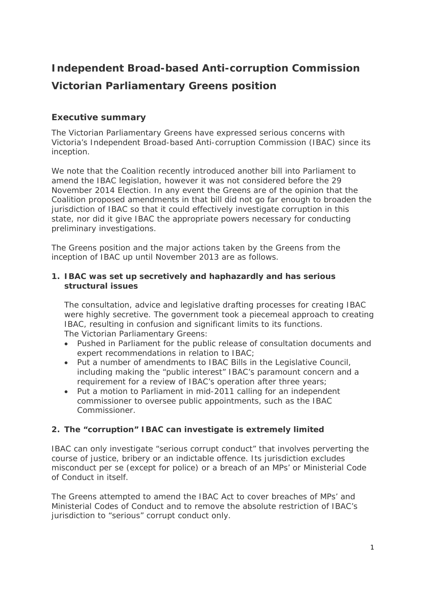# **Independent Broad-based Anti-corruption Commission Victorian Parliamentary Greens position**

## **Executive summary**

The Victorian Parliamentary Greens have expressed serious concerns with Victoria's Independent Broad-based Anti-corruption Commission (IBAC) since its inception.

We note that the Coalition recently introduced another bill into Parliament to amend the IBAC legislation, however it was not considered before the 29 November 2014 Election. In any event the Greens are of the opinion that the Coalition proposed amendments in that bill did not go far enough to broaden the jurisdiction of IBAC so that it could effectively investigate corruption in this state, nor did it give IBAC the appropriate powers necessary for conducting preliminary investigations.

The Greens position and the major actions taken by the Greens from the inception of IBAC up until November 2013 are as follows.

#### *1. IBAC was set up secretively and haphazardly and has serious structural issues*

The consultation, advice and legislative drafting processes for creating IBAC were highly secretive. The government took a piecemeal approach to creating IBAC, resulting in confusion and significant limits to its functions. The Victorian Parliamentary Greens:

- Pushed in Parliament for the public release of consultation documents and expert recommendations in relation to IBAC;
- Put a number of amendments to IBAC Bills in the Legislative Council, including making the "public interest" IBAC's paramount concern and a requirement for a review of IBAC's operation after three years;
- Put a motion to Parliament in mid-2011 calling for an independent commissioner to oversee public appointments, such as the IBAC Commissioner.

## *2. The "corruption" IBAC can investigate is extremely limited*

IBAC can only investigate "serious corrupt conduct" that involves perverting the course of justice, bribery or an indictable offence. Its jurisdiction excludes misconduct per se (except for police) or a breach of an MPs' or Ministerial Code of Conduct in itself.

The Greens attempted to amend the IBAC Act to cover breaches of MPs' and Ministerial Codes of Conduct and to remove the absolute restriction of IBAC's jurisdiction to "serious" corrupt conduct only.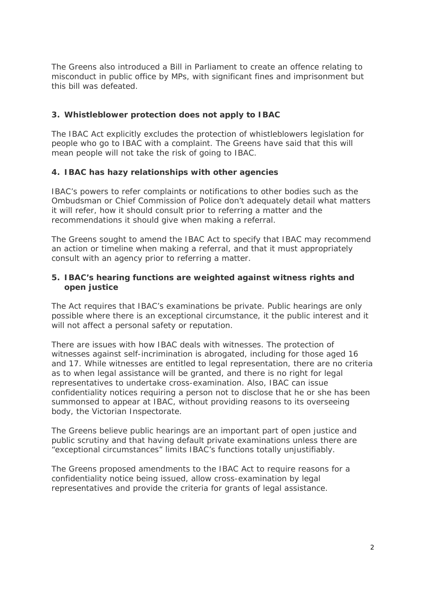The Greens also introduced a Bill in Parliament to create an offence relating to misconduct in public office by MPs, with significant fines and imprisonment but this bill was defeated.

## *3. Whistleblower protection does not apply to IBAC*

The IBAC Act explicitly excludes the protection of whistleblowers legislation for people who go to IBAC with a complaint. The Greens have said that this will mean people will not take the risk of going to IBAC.

## *4. IBAC has hazy relationships with other agencies*

IBAC's powers to refer complaints or notifications to other bodies such as the Ombudsman or Chief Commission of Police don't adequately detail what matters it will refer, how it should consult prior to referring a matter and the recommendations it should give when making a referral.

The Greens sought to amend the IBAC Act to specify that IBAC may recommend an action or timeline when making a referral, and that it must appropriately consult with an agency prior to referring a matter.

## *5. IBAC's hearing functions are weighted against witness rights and open justice*

The Act requires that IBAC's examinations be private. Public hearings are only possible where there is an exceptional circumstance, it the public interest and it will not affect a personal safety or reputation.

There are issues with how IBAC deals with witnesses. The protection of witnesses against self-incrimination is abrogated, including for those aged 16 and 17. While witnesses are entitled to legal representation, there are no criteria as to when legal assistance will be granted, and there is no right for legal representatives to undertake cross-examination. Also, IBAC can issue confidentiality notices requiring a person not to disclose that he or she has been summonsed to appear at IBAC, without providing reasons to its overseeing body, the Victorian Inspectorate.

The Greens believe public hearings are an important part of open justice and public scrutiny and that having default private examinations unless there are "exceptional circumstances" limits IBAC's functions totally unjustifiably.

The Greens proposed amendments to the IBAC Act to require reasons for a confidentiality notice being issued, allow cross-examination by legal representatives and provide the criteria for grants of legal assistance.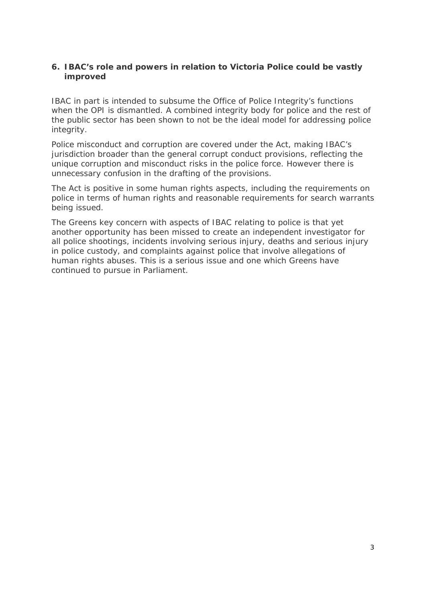## *6. IBAC's role and powers in relation to Victoria Police could be vastly improved*

IBAC in part is intended to subsume the Office of Police Integrity's functions when the OPI is dismantled. A combined integrity body for police and the rest of the public sector has been shown to not be the ideal model for addressing police integrity.

Police misconduct and corruption are covered under the Act, making IBAC's jurisdiction broader than the general corrupt conduct provisions, reflecting the unique corruption and misconduct risks in the police force. However there is unnecessary confusion in the drafting of the provisions.

The Act is positive in some human rights aspects, including the requirements on police in terms of human rights and reasonable requirements for search warrants being issued.

The Greens key concern with aspects of IBAC relating to police is that yet another opportunity has been missed to create an independent investigator for all police shootings, incidents involving serious injury, deaths and serious injury in police custody, and complaints against police that involve allegations of human rights abuses. This is a serious issue and one which Greens have continued to pursue in Parliament.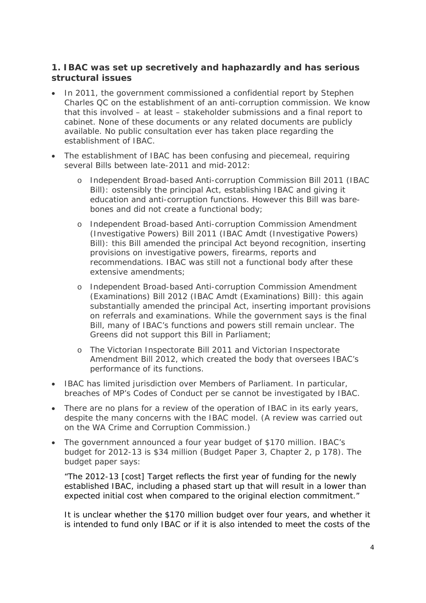# **1. IBAC was set up secretively and haphazardly and has serious structural issues**

- In 2011, the government commissioned a confidential report by Stephen Charles QC on the establishment of an anti-corruption commission. We know that this involved – at least – stakeholder submissions and a final report to cabinet. None of these documents or any related documents are publicly available. No public consultation ever has taken place regarding the establishment of IBAC.
- The establishment of IBAC has been confusing and piecemeal, requiring several Bills between late-2011 and mid-2012:
	- o Independent Broad-based Anti-corruption Commission Bill 2011 (IBAC Bill): ostensibly the principal Act, establishing IBAC and giving it education and anti-corruption functions. However this Bill was barebones and did not create a functional body;
	- o Independent Broad-based Anti-corruption Commission Amendment (Investigative Powers) Bill 2011 (IBAC Amdt (Investigative Powers) Bill): this Bill amended the principal Act beyond recognition, inserting provisions on investigative powers, firearms, reports and recommendations. IBAC was still not a functional body after these extensive amendments;
	- o Independent Broad-based Anti-corruption Commission Amendment (Examinations) Bill 2012 (IBAC Amdt (Examinations) Bill): this again substantially amended the principal Act, inserting important provisions on referrals and examinations. While the government says is the final Bill, many of IBAC's functions and powers still remain unclear. The Greens did not support this Bill in Parliament;
	- o The Victorian Inspectorate Bill 2011 and Victorian Inspectorate Amendment Bill 2012, which created the body that oversees IBAC's performance of its functions.
- IBAC has limited jurisdiction over Members of Parliament. In particular, breaches of MP's Codes of Conduct per se cannot be investigated by IBAC.
- There are no plans for a review of the operation of IBAC in its early years, despite the many concerns with the IBAC model. (A review was carried out on the WA Crime and Corruption Commission.)
- The government announced a four year budget of \$170 million. IBAC's budget for 2012-13 is \$34 million (Budget Paper 3, Chapter 2, p 178). The budget paper says:

*"The 2012-13 [cost] Target reflects the first year of funding for the newly established IBAC, including a phased start up that will result in a lower than expected initial cost when compared to the original election commitment."* 

It is unclear whether the \$170 million budget over four years, and whether it is intended to fund only IBAC or if it is also intended to meet the costs of the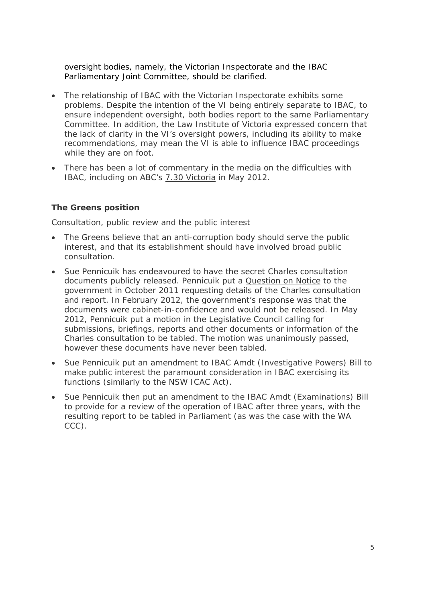oversight bodies, namely, the Victorian Inspectorate and the IBAC Parliamentary Joint Committee, should be clarified.

- The relationship of IBAC with the Victorian Inspectorate exhibits some problems. Despite the intention of the VI being entirely separate to IBAC, to ensure independent oversight, both bodies report to the same Parliamentary Committee. In addition, the Law Institute of Victoria expressed concern that the lack of clarity in the VI's oversight powers, including its ability to make recommendations, may mean the VI is able to influence IBAC proceedings while they are on foot.
- There has been a lot of commentary in the media on the difficulties with IBAC, including on ABC's 7.30 Victoria in May 2012.

#### *The Greens position*

#### *Consultation, public review and the public interest*

- The Greens believe that an anti-corruption body should serve the public interest, and that its establishment should have involved broad public consultation.
- Sue Pennicuik has endeavoured to have the secret Charles consultation documents publicly released. Pennicuik put a Question on Notice to the government in October 2011 requesting details of the Charles consultation and report. In February 2012, the government's response was that the documents were cabinet-in-confidence and would not be released. In May 2012, Pennicuik put a motion in the Legislative Council calling for submissions, briefings, reports and other documents or information of the Charles consultation to be tabled. The motion was unanimously passed, however these documents have never been tabled.
- Sue Pennicuik put an amendment to IBAC Amdt (Investigative Powers) Bill to make public interest the paramount consideration in IBAC exercising its functions (similarly to the NSW ICAC Act).
- Sue Pennicuik then put an amendment to the IBAC Amdt (Examinations) Bill to provide for a review of the operation of IBAC after three years, with the resulting report to be tabled in Parliament (as was the case with the WA CCC).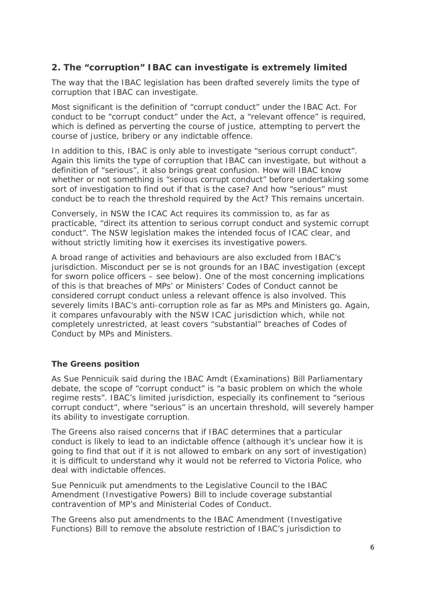# **2. The "corruption" IBAC can investigate is extremely limited**

The way that the IBAC legislation has been drafted severely limits the type of corruption that IBAC can investigate.

Most significant is the definition of "corrupt conduct" under the IBAC Act. For conduct to be "corrupt conduct" under the Act, a "relevant offence" is required, which is defined as perverting the course of justice, attempting to pervert the course of justice, bribery or any indictable offence.

In addition to this, IBAC is only able to investigate "serious corrupt conduct". Again this limits the type of corruption that IBAC can investigate, but without a definition of "serious", it also brings great confusion. How will IBAC know whether or not something is "serious corrupt conduct" before undertaking some sort of investigation to find out if that is the case? And how "serious" must conduct be to reach the threshold required by the Act? This remains uncertain.

Conversely, in NSW the ICAC Act requires its commission to, as far as practicable, "direct its attention to serious corrupt conduct and systemic corrupt conduct". The NSW legislation makes the intended focus of ICAC clear, and without strictly limiting how it exercises its investigative powers.

A broad range of activities and behaviours are also excluded from IBAC's jurisdiction. Misconduct per se is not grounds for an IBAC investigation (except for sworn police officers – see below). One of the most concerning implications of this is that breaches of MPs' or Ministers' Codes of Conduct cannot be considered corrupt conduct unless a relevant offence is also involved. This severely limits IBAC's anti-corruption role as far as MPs and Ministers go. Again, it compares unfavourably with the NSW ICAC jurisdiction which, while not completely unrestricted, at least covers "substantial" breaches of Codes of Conduct by MPs and Ministers.

## *The Greens position*

As Sue Pennicuik said during the IBAC Amdt (Examinations) Bill Parliamentary debate, the scope of "corrupt conduct" is "a basic problem on which the whole regime rests". IBAC's limited jurisdiction, especially its confinement to "serious corrupt conduct", where "serious" is an uncertain threshold, will severely hamper its ability to investigate corruption.

The Greens also raised concerns that if IBAC determines that a particular conduct is likely to lead to an indictable offence (although it's unclear how it is going to find that out if it is not allowed to embark on any sort of investigation) it is difficult to understand why it would not be referred to Victoria Police, who deal with indictable offences.

Sue Pennicuik put amendments to the Legislative Council to the IBAC Amendment (Investigative Powers) Bill to include coverage substantial contravention of MP's and Ministerial Codes of Conduct.

The Greens also put amendments to the IBAC Amendment (Investigative Functions) Bill to remove the absolute restriction of IBAC's jurisdiction to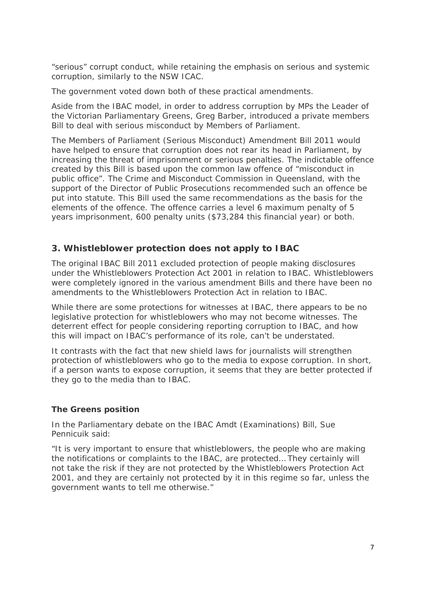"serious" corrupt conduct, while retaining the emphasis on serious and systemic corruption, similarly to the NSW ICAC.

The government voted down both of these practical amendments.

Aside from the IBAC model, in order to address corruption by MPs the Leader of the Victorian Parliamentary Greens, Greg Barber, introduced a private members Bill to deal with serious misconduct by Members of Parliament.

The Members of Parliament (Serious Misconduct) Amendment Bill 2011 would have helped to ensure that corruption does not rear its head in Parliament, by increasing the threat of imprisonment or serious penalties. The indictable offence created by this Bill is based upon the common law offence of "misconduct in public office". The Crime and Misconduct Commission in Queensland, with the support of the Director of Public Prosecutions recommended such an offence be put into statute. This Bill used the same recommendations as the basis for the elements of the offence. The offence carries a level 6 maximum penalty of 5 years imprisonment, 600 penalty units (\$73,284 this financial year) or both.

# **3. Whistleblower protection does not apply to IBAC**

The original IBAC Bill 2011 excluded protection of people making disclosures under the Whistleblowers Protection Act 2001 in relation to IBAC. Whistleblowers were completely ignored in the various amendment Bills and there have been no amendments to the Whistleblowers Protection Act in relation to IBAC.

While there are some protections for witnesses at IBAC, there appears to be no legislative protection for whistleblowers who may not become witnesses. The deterrent effect for people considering reporting corruption to IBAC, and how this will impact on IBAC's performance of its role, can't be understated.

It contrasts with the fact that new shield laws for journalists will strengthen protection of whistleblowers who go to the media to expose corruption. In short, if a person wants to expose corruption, it seems that they are better protected if they go to the media than to IBAC.

## *The Greens position*

In the Parliamentary debate on the IBAC Amdt (Examinations) Bill, Sue Pennicuik said:

"It is very important to ensure that whistleblowers, the people who are making the notifications or complaints to the IBAC, are protected… They certainly will not take the risk if they are not protected by the Whistleblowers Protection Act 2001, and they are certainly not protected by it in this regime so far, unless the government wants to tell me otherwise."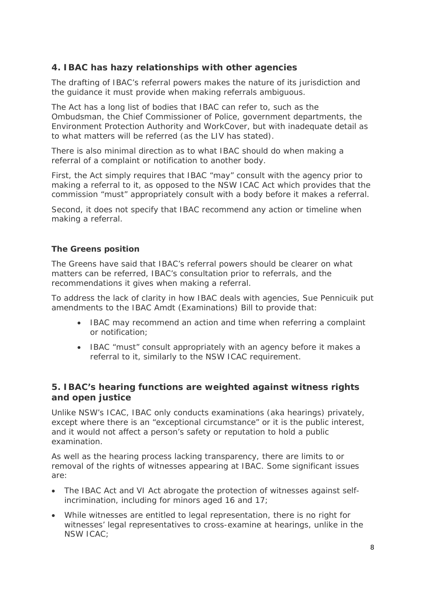# **4. IBAC has hazy relationships with other agencies**

The drafting of IBAC's referral powers makes the nature of its jurisdiction and the guidance it must provide when making referrals ambiguous.

The Act has a long list of bodies that IBAC can refer to, such as the Ombudsman, the Chief Commissioner of Police, government departments, the Environment Protection Authority and WorkCover, but with inadequate detail as to what matters will be referred (as the LIV has stated).

There is also minimal direction as to what IBAC should do when making a referral of a complaint or notification to another body.

First, the Act simply requires that IBAC "may" consult with the agency prior to making a referral to it, as opposed to the NSW ICAC Act which provides that the commission "must" appropriately consult with a body before it makes a referral.

Second, it does not specify that IBAC recommend any action or timeline when making a referral.

## *The Greens position*

The Greens have said that IBAC's referral powers should be clearer on what matters can be referred, IBAC's consultation prior to referrals, and the recommendations it gives when making a referral.

To address the lack of clarity in how IBAC deals with agencies, Sue Pennicuik put amendments to the IBAC Amdt (Examinations) Bill to provide that:

- IBAC may recommend an action and time when referring a complaint or notification;
- IBAC "must" consult appropriately with an agency before it makes a referral to it, similarly to the NSW ICAC requirement.

## **5. IBAC's hearing functions are weighted against witness rights and open justice**

Unlike NSW's ICAC, IBAC only conducts examinations (aka hearings) privately, except where there is an "exceptional circumstance" or it is the public interest, and it would not affect a person's safety or reputation to hold a public examination.

As well as the hearing process lacking transparency, there are limits to or removal of the rights of witnesses appearing at IBAC. Some significant issues are:

- The IBAC Act and VI Act abrogate the protection of witnesses against selfincrimination, including for minors aged 16 and 17;
- While witnesses are entitled to legal representation, there is no right for witnesses' legal representatives to cross-examine at hearings, unlike in the NSW ICAC;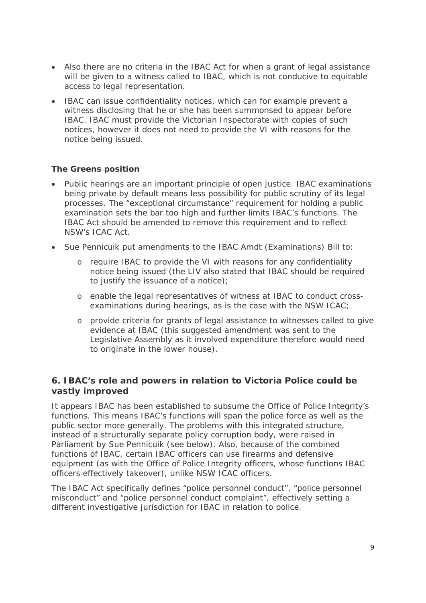- Also there are no criteria in the IBAC Act for when a grant of legal assistance will be given to a witness called to IBAC, which is not conducive to equitable access to legal representation.
- IBAC can issue confidentiality notices, which can for example prevent a witness disclosing that he or she has been summonsed to appear before IBAC. IBAC must provide the Victorian Inspectorate with copies of such notices, however it does not need to provide the VI with reasons for the notice being issued.

## *The Greens position*

- Public hearings are an important principle of open justice. IBAC examinations being private by default means less possibility for public scrutiny of its legal processes. The "exceptional circumstance" requirement for holding a public examination sets the bar too high and further limits IBAC's functions. The IBAC Act should be amended to remove this requirement and to reflect NSW's ICAC Act.
- Sue Pennicuik put amendments to the IBAC Amdt (Examinations) Bill to:
	- o require IBAC to provide the VI with reasons for any confidentiality notice being issued (the LIV also stated that IBAC should be required to justify the issuance of a notice);
	- o enable the legal representatives of witness at IBAC to conduct crossexaminations during hearings, as is the case with the NSW ICAC;
	- o provide criteria for grants of legal assistance to witnesses called to give evidence at IBAC (this suggested amendment was sent to the Legislative Assembly as it involved expenditure therefore would need to originate in the lower house).

# **6. IBAC's role and powers in relation to Victoria Police could be vastly improved**

It appears IBAC has been established to subsume the Office of Police Integrity's functions. This means IBAC's functions will span the police force as well as the public sector more generally. The problems with this integrated structure, instead of a structurally separate policy corruption body, were raised in Parliament by Sue Pennicuik (see below). Also, because of the combined functions of IBAC, certain IBAC officers can use firearms and defensive equipment (as with the Office of Police Integrity officers, whose functions IBAC officers effectively takeover), unlike NSW ICAC officers.

The IBAC Act specifically defines "police personnel conduct", "police personnel misconduct" and "police personnel conduct complaint", effectively setting a different investigative jurisdiction for IBAC in relation to police.